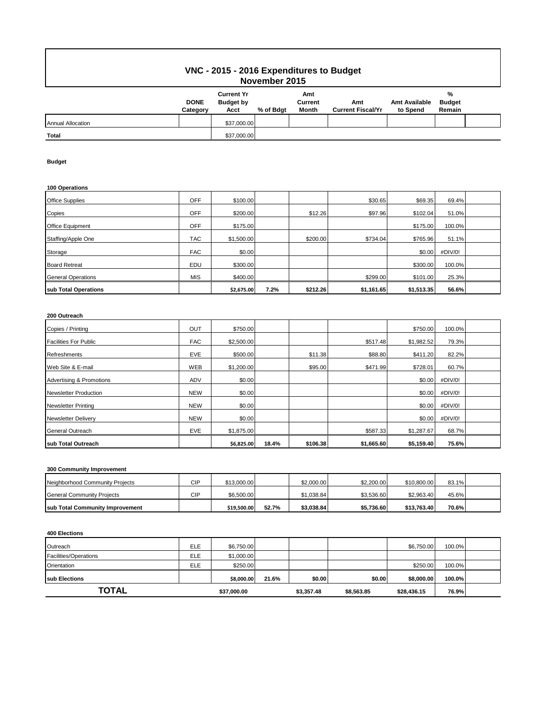# **VNC - 2015 - 2016 Expenditures to Budget November 2015**

|                          | <b>DONE</b><br>Category | <b>Current Yr</b><br><b>Budget by</b><br>Acct | % of Bdgt | Amt<br>Current<br>Month | Amt<br><b>Current Fiscal/Yr</b> | <b>Amt Available</b><br>to Spend | %<br><b>Budget</b><br>Remain |  |
|--------------------------|-------------------------|-----------------------------------------------|-----------|-------------------------|---------------------------------|----------------------------------|------------------------------|--|
| <b>Annual Allocation</b> |                         | \$37,000.00                                   |           |                         |                                 |                                  |                              |  |
| <b>Total</b>             |                         | \$37,000.00                                   |           |                         |                                 |                                  |                              |  |

### **Budget**

### **100 Operations**

| sub Total Operations      |            | \$2,675.00 | 7.2% | \$212.26 | \$1,161.65 | \$1,513.35 | 56.6%   |  |
|---------------------------|------------|------------|------|----------|------------|------------|---------|--|
| <b>General Operations</b> | <b>MIS</b> | \$400.00   |      |          | \$299.00   | \$101.00   | 25.3%   |  |
| <b>Board Retreat</b>      | EDU        | \$300.00   |      |          |            | \$300.00   | 100.0%  |  |
| Storage                   | <b>FAC</b> | \$0.00     |      |          |            | \$0.00     | #DIV/0! |  |
| Staffing/Apple One        | <b>TAC</b> | \$1,500.00 |      | \$200.00 | \$734.04   | \$765.96   | 51.1%   |  |
| Office Equipment          | OFF        | \$175.00   |      |          |            | \$175.00   | 100.0%  |  |
| Copies                    | OFF        | \$200.00   |      | \$12.26  | \$97.96    | \$102.04   | 51.0%   |  |
| <b>Office Supplies</b>    | OFF        | \$100.00   |      |          | \$30.65    | \$69.35    | 69.4%   |  |

## **200 Outreach**

| Copies / Printing            | OUT        | \$750.00   |       |          |            | \$750.00   | 100.0%  |  |
|------------------------------|------------|------------|-------|----------|------------|------------|---------|--|
| <b>Facilities For Public</b> | <b>FAC</b> | \$2,500.00 |       |          | \$517.48   | \$1,982.52 | 79.3%   |  |
| <b>Refreshments</b>          | <b>EVE</b> | \$500.00   |       | \$11.38  | \$88.80    | \$411.20   | 82.2%   |  |
| Web Site & E-mail            | <b>WEB</b> | \$1,200.00 |       | \$95.00  | \$471.99   | \$728.01   | 60.7%   |  |
| Advertising & Promotions     | <b>ADV</b> | \$0.00     |       |          |            | \$0.00     | #DIV/0! |  |
| <b>Newsletter Production</b> | <b>NEW</b> | \$0.00     |       |          |            | \$0.00     | #DIV/0! |  |
| <b>Newsletter Printing</b>   | <b>NEW</b> | \$0.00     |       |          |            | \$0.00     | #DIV/0! |  |
| <b>Newsletter Delivery</b>   | <b>NEW</b> | \$0.00     |       |          |            | \$0.00     | #DIV/0! |  |
| General Outreach             | EVE        | \$1,875.00 |       |          | \$587.33   | \$1,287.67 | 68.7%   |  |
| sub Total Outreach           |            | \$6,825.00 | 18.4% | \$106.38 | \$1,665.60 | \$5,159.40 | 75.6%   |  |

### **300 Community Improvement**

| sub Total Community Improvement |     | \$19,500.00 | 52.7% | \$3.038.84 | \$5.736.60 | \$13.763.40 | 70.6% |  |
|---------------------------------|-----|-------------|-------|------------|------------|-------------|-------|--|
| General Community Projects      | CIP | \$6,500.00  |       | \$1.038.84 | \$3.536.60 | \$2,963.40  | 45.6% |  |
| Neighborhood Community Projects | CIP | \$13,000.00 |       | \$2,000.00 | \$2,200.00 | \$10,800.00 | 83.1% |  |

#### **400 Elections**

| Outreach              | ELE        | \$6,750.00  |       |            |            | \$6,750.00  | 100.0% |  |
|-----------------------|------------|-------------|-------|------------|------------|-------------|--------|--|
| Facilities/Operations | <b>ELE</b> | \$1,000.00  |       |            |            |             |        |  |
| Orientation           | ELE        | \$250.00    |       |            |            | \$250.00    | 100.0% |  |
| <b>Isub Elections</b> |            | \$8,000.00  | 21.6% | \$0.00     | \$0.00     | \$8,000,00  | 100.0% |  |
| TOTAL                 |            | \$37,000.00 |       | \$3,357.48 | \$8,563.85 | \$28,436.15 | 76.9%  |  |